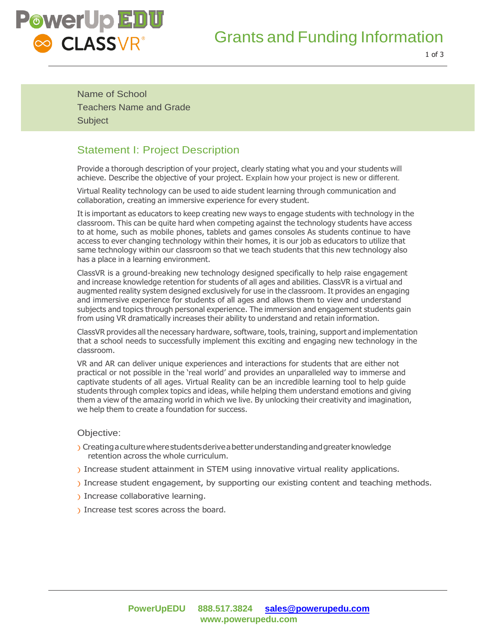

# Grants and Funding Information

1 of 3

Name of School Teachers Name and Grade **Subject** 

## Statement I: Project Description

Provide a thorough description of your project, clearly stating what you and your students will achieve. Describe the objective of your project. Explain how your project is new or different.

Virtual Reality technology can be used to aide student learning through communication and collaboration, creating an immersive experience for every student.

It is important as educators to keep creating new ways to engage students with technology in the classroom. This can be quite hard when competing against the technology students have access to at home, such as mobile phones, tablets and games consoles As students continue to have access to ever changing technology within their homes, it is our job as educators to utilize that same technology within our classroom so that we teach students that this new technology also has a place in a learning environment.

ClassVR is a ground-breaking new technology designed specifically to help raise engagement and increase knowledge retention for students of all ages and abilities. ClassVR is a virtual and augmented reality system designed exclusively for use in the classroom. It provides an engaging and immersive experience for students of all ages and allows them to view and understand subjects and topics through personal experience. The immersion and engagement students gain from using VR dramatically increases their ability to understand and retain information.

ClassVR provides all the necessary hardware, software, tools, training, support and implementation that a school needs to successfully implement this exciting and engaging new technology in the classroom.

VR and AR can deliver unique experiences and interactions for students that are either not practical or not possible in the 'real world' and provides an unparalleled way to immerse and captivate students of all ages. Virtual Reality can be an incredible learning tool to help guide students through complex topics and ideas, while helping them understand emotions and giving them a view of the amazing world in which we live. By unlocking their creativity and imagination, we help them to create a foundation for success.

#### Objective:

- ) Creatingaculturewherestudentsderiveabetterunderstandingandgreaterknowledge retention across the whole curriculum.
- ) Increase student attainment in STEM using innovative virtual reality applications.
- ) Increase student engagement, by supporting our existing content and teaching methods.
- ) Increase collaborative learning.
- ) Increase test scores across the board.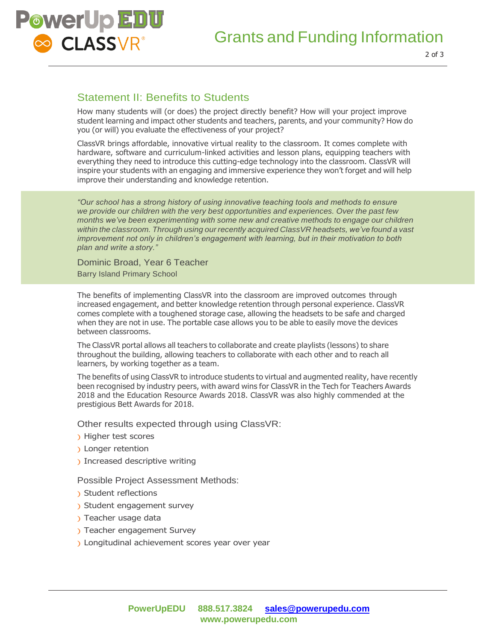

## Statement II: Benefits to Students

How many students will (or does) the project directly benefit? How will your project improve student learning and impact other students and teachers, parents, and your community? How do you (or will) you evaluate the effectiveness of your project?

ClassVR brings affordable, innovative virtual reality to the classroom. It comes complete with hardware, software and curriculum-linked activities and lesson plans, equipping teachers with everything they need to introduce this cutting-edge technology into the classroom. ClassVR will inspire your students with an engaging and immersive experience they won't forget and will help improve their understanding and knowledge retention.

*"Our school has a strong history of using innovative teaching tools and methods to ensure we provide our children with the very best opportunities and experiences. Over the past few months we've been experimenting with some new and creative methods to engage our children within the classroom. Through using our recently acquired ClassVR headsets, we've found a vast improvement not only in children's engagement with learning, but in their motivation to both plan and write a story."*

Dominic Broad, Year 6 Teacher Barry Island Primary School

The benefits of implementing ClassVR into the classroom are improved outcomes through increased engagement, and better knowledge retention through personal experience. ClassVR comes complete with a toughened storage case, allowing the headsets to be safe and charged when they are not in use. The portable case allows you to be able to easily move the devices between classrooms.

The ClassVR portal allows all teachers to collaborate and create playlists (lessons) to share throughout the building, allowing teachers to collaborate with each other and to reach all learners, by working together as a team.

The benefits of using ClassVR to introduce students to virtual and augmented reality, have recently been recognised by industry peers, with award wins for ClassVR in the Tech for Teachers Awards 2018 and the Education Resource Awards 2018. ClassVR was also highly commended at the prestigious Bett Awards for 2018.

Other results expected through using ClassVR:

- ) Higher test scores
- ) Longer retention
- ) Increased descriptive writing

Possible Project Assessment Methods:

- ) Student reflections
- ) Student engagement survey
- ) Teacher usage data
- ) Teacher engagement Survey
- ) Longitudinal achievement scores year over year